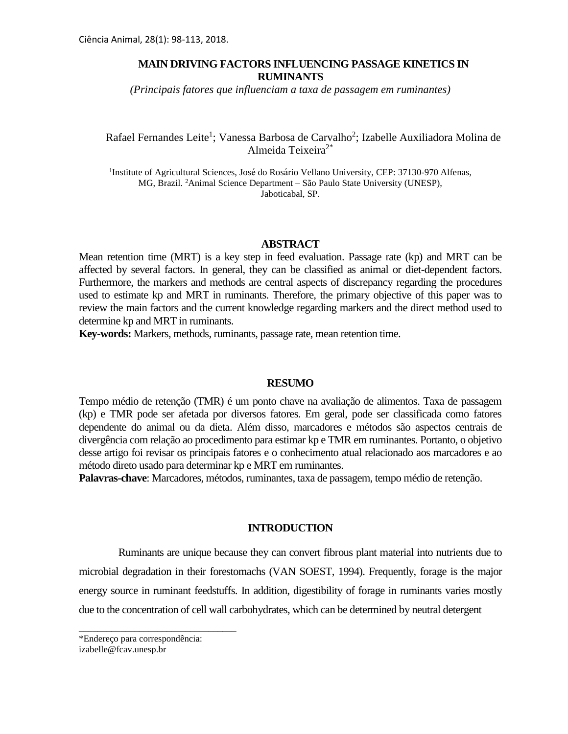# **MAIN DRIVING FACTORS INFLUENCING PASSAGE KINETICS IN RUMINANTS**

*(Principais fatores que influenciam a taxa de passagem em ruminantes)*

# Rafael Fernandes Leite<sup>1</sup>; Vanessa Barbosa de Carvalho<sup>2</sup>; Izabelle Auxiliadora Molina de Almeida Teixeira2\*

1 Institute of Agricultural Sciences, José do Rosário Vellano University, CEP: 37130-970 Alfenas, MG, Brazil. <sup>2</sup>Animal Science Department – São Paulo State University (UNESP), Jaboticabal, SP.

#### **ABSTRACT**

Mean retention time (MRT) is a key step in feed evaluation. Passage rate (kp) and MRT can be affected by several factors. In general, they can be classified as animal or diet-dependent factors. Furthermore, the markers and methods are central aspects of discrepancy regarding the procedures used to estimate kp and MRT in ruminants. Therefore, the primary objective of this paper was to review the main factors and the current knowledge regarding markers and the direct method used to determine kp and MRT in ruminants.

**Key-words:** Markers, methods, ruminants, passage rate, mean retention time.

#### **RESUMO**

Tempo médio de retenção (TMR) é um ponto chave na avaliação de alimentos. Taxa de passagem (kp) e TMR pode ser afetada por diversos fatores. Em geral, pode ser classificada como fatores dependente do animal ou da dieta. Além disso, marcadores e métodos são aspectos centrais de divergência com relação ao procedimento para estimar kp e TMR em ruminantes. Portanto, o objetivo desse artigo foi revisar os principais fatores e o conhecimento atual relacionado aos marcadores e ao método direto usado para determinar kp e MRT em ruminantes.

**Palavras-chave**: Marcadores, métodos, ruminantes, taxa de passagem, tempo médio de retenção.

## **INTRODUCTION**

Ruminants are unique because they can convert fibrous plant material into nutrients due to microbial degradation in their forestomachs (VAN SOEST, 1994). Frequently, forage is the major energy source in ruminant feedstuffs. In addition, digestibility of forage in ruminants varies mostly due to the concentration of cell wall carbohydrates, which can be determined by neutral detergent

\_\_\_\_\_\_\_\_\_\_\_\_\_\_\_\_\_\_\_\_\_\_\_\_\_\_\_\_\_\_\_\_\_\_

<sup>\*</sup>Endereço para correspondência: izabelle@fcav.unesp.br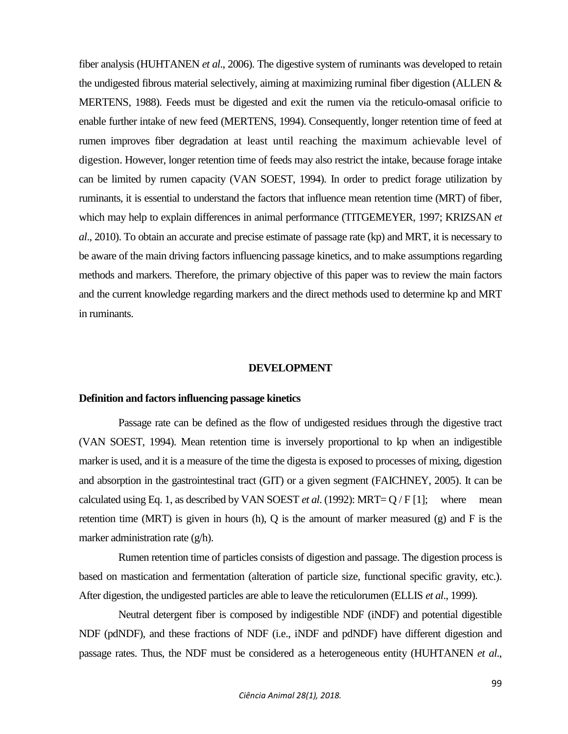fiber analysis (HUHTANEN *et al*., 2006). The digestive system of ruminants was developed to retain the undigested fibrous material selectively, aiming at maximizing ruminal fiber digestion (ALLEN  $\&$ MERTENS, 1988). Feeds must be digested and exit the rumen via the reticulo-omasal orificie to enable further intake of new feed (MERTENS, 1994). Consequently, longer retention time of feed at rumen improves fiber degradation at least until reaching the maximum achievable level of digestion. However, longer retention time of feeds may also restrict the intake, because forage intake can be limited by rumen capacity (VAN SOEST, 1994). In order to predict forage utilization by ruminants, it is essential to understand the factors that influence mean retention time (MRT) of fiber, which may help to explain differences in animal performance (TITGEMEYER, 1997; KRIZSAN *et al*., 2010). To obtain an accurate and precise estimate of passage rate (kp) and MRT, it is necessary to be aware of the main driving factors influencing passage kinetics, and to make assumptions regarding methods and markers. Therefore, the primary objective of this paper was to review the main factors and the current knowledge regarding markers and the direct methods used to determine kp and MRT in ruminants.

#### **DEVELOPMENT**

#### **Definition and factors influencing passage kinetics**

Passage rate can be defined as the flow of undigested residues through the digestive tract (VAN SOEST, 1994). Mean retention time is inversely proportional to kp when an indigestible marker is used, and it is a measure of the time the digesta is exposed to processes of mixing, digestion and absorption in the gastrointestinal tract (GIT) or a given segment (FAICHNEY, 2005). It can be calculated using Eq. 1, as described by VAN SOEST *et al*. (1992): MRT= Q / F [1]; where mean retention time (MRT) is given in hours (h), Q is the amount of marker measured (g) and F is the marker administration rate (g/h).

Rumen retention time of particles consists of digestion and passage. The digestion process is based on mastication and fermentation (alteration of particle size, functional specific gravity, etc.). After digestion, the undigested particles are able to leave the reticulorumen (ELLIS *et al*., 1999).

Neutral detergent fiber is composed by indigestible NDF (iNDF) and potential digestible NDF (pdNDF), and these fractions of NDF (i.e., iNDF and pdNDF) have different digestion and passage rates. Thus, the NDF must be considered as a heterogeneous entity (HUHTANEN *et al*.,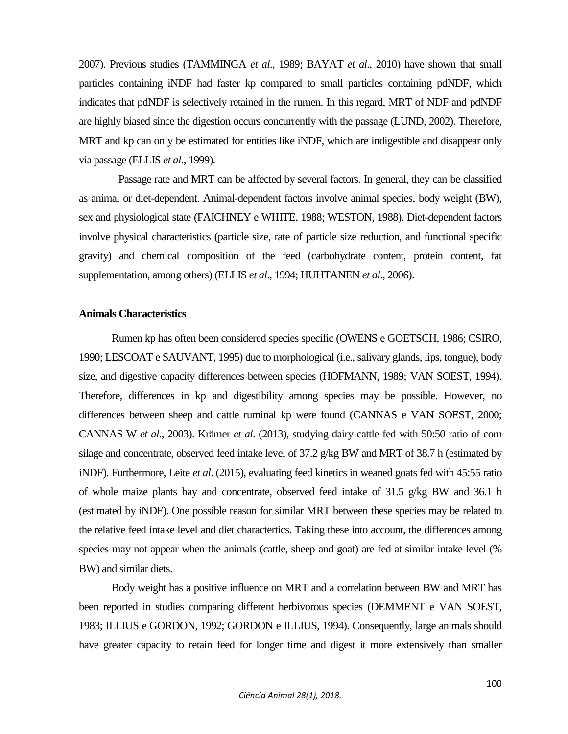2007). Previous studies (TAMMINGA *et al*., 1989; BAYAT *et al*., 2010) have shown that small particles containing iNDF had faster kp compared to small particles containing pdNDF, which indicates that pdNDF is selectively retained in the rumen. In this regard, MRT of NDF and pdNDF are highly biased since the digestion occurs concurrently with the passage (LUND, 2002). Therefore, MRT and kp can only be estimated for entities like iNDF, which are indigestible and disappear only via passage (ELLIS *et al*., 1999).

Passage rate and MRT can be affected by several factors. In general, they can be classified as animal or diet-dependent. Animal-dependent factors involve animal species, body weight (BW), sex and physiological state (FAICHNEY e WHITE, 1988; WESTON, 1988). Diet-dependent factors involve physical characteristics (particle size, rate of particle size reduction, and functional specific gravity) and chemical composition of the feed (carbohydrate content, protein content, fat supplementation, among others) (ELLIS *et al*., 1994; HUHTANEN *et al*., 2006).

## **Animals Characteristics**

Rumen kp has often been considered species specific (OWENS e GOETSCH, 1986; CSIRO, 1990; LESCOAT e SAUVANT, 1995) due to morphological (i.e., salivary glands, lips, tongue), body size, and digestive capacity differences between species (HOFMANN, 1989; VAN SOEST, 1994). Therefore, differences in kp and digestibility among species may be possible. However, no differences between sheep and cattle ruminal kp were found (CANNAS e VAN SOEST, 2000; CANNAS W *et al*., 2003). Krämer *et al*. (2013), studying dairy cattle fed with 50:50 ratio of corn silage and concentrate, observed feed intake level of 37.2 g/kg BW and MRT of 38.7 h (estimated by iNDF). Furthermore, Leite *et al*. (2015), evaluating feed kinetics in weaned goats fed with 45:55 ratio of whole maize plants hay and concentrate, observed feed intake of 31.5 g/kg BW and 36.1 h (estimated by iNDF). One possible reason for similar MRT between these species may be related to the relative feed intake level and diet charactertics. Taking these into account, the differences among species may not appear when the animals (cattle, sheep and goat) are fed at similar intake level (% BW) and similar diets.

Body weight has a positive influence on MRT and a correlation between BW and MRT has been reported in studies comparing different herbivorous species (DEMMENT e VAN SOEST, 1983; ILLIUS e GORDON, 1992; GORDON e ILLIUS, 1994). Consequently, large animals should have greater capacity to retain feed for longer time and digest it more extensively than smaller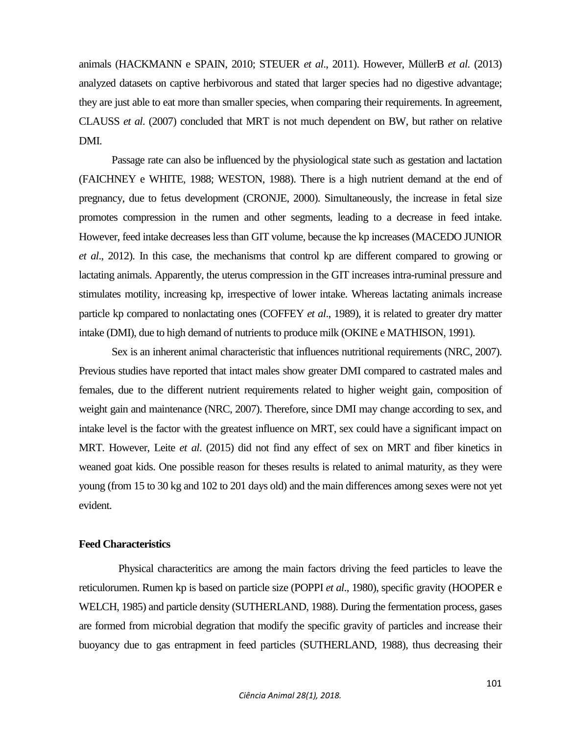animals (HACKMANN e SPAIN, 2010; STEUER *et al*., 2011). However, MüllerB *et al*. (2013) analyzed datasets on captive herbivorous and stated that larger species had no digestive advantage; they are just able to eat more than smaller species, when comparing their requirements. In agreement, CLAUSS *et al*. (2007) concluded that MRT is not much dependent on BW, but rather on relative DMI.

Passage rate can also be influenced by the physiological state such as gestation and lactation (FAICHNEY e WHITE, 1988; WESTON, 1988). There is a high nutrient demand at the end of pregnancy, due to fetus development (CRONJE, 2000). Simultaneously, the increase in fetal size promotes compression in the rumen and other segments, leading to a decrease in feed intake. However, feed intake decreases less than GIT volume, because the kp increases (MACEDO JUNIOR *et al*., 2012). In this case, the mechanisms that control kp are different compared to growing or lactating animals. Apparently, the uterus compression in the GIT increases intra-ruminal pressure and stimulates motility, increasing kp, irrespective of lower intake. Whereas lactating animals increase particle kp compared to nonlactating ones (COFFEY *et al*., 1989), it is related to greater dry matter intake (DMI), due to high demand of nutrients to produce milk (OKINE e MATHISON, 1991).

Sex is an inherent animal characteristic that influences nutritional requirements (NRC, 2007). Previous studies have reported that intact males show greater DMI compared to castrated males and females, due to the different nutrient requirements related to higher weight gain, composition of weight gain and maintenance (NRC, 2007). Therefore, since DMI may change according to sex, and intake level is the factor with the greatest influence on MRT, sex could have a significant impact on MRT. However, Leite *et al*. (2015) did not find any effect of sex on MRT and fiber kinetics in weaned goat kids. One possible reason for theses results is related to animal maturity, as they were young (from 15 to 30 kg and 102 to 201 days old) and the main differences among sexes were not yet evident.

#### **Feed Characteristics**

Physical characteritics are among the main factors driving the feed particles to leave the reticulorumen. Rumen kp is based on particle size (POPPI *et al*., 1980), specific gravity (HOOPER e WELCH, 1985) and particle density (SUTHERLAND, 1988). During the fermentation process, gases are formed from microbial degration that modify the specific gravity of particles and increase their buoyancy due to gas entrapment in feed particles (SUTHERLAND, 1988), thus decreasing their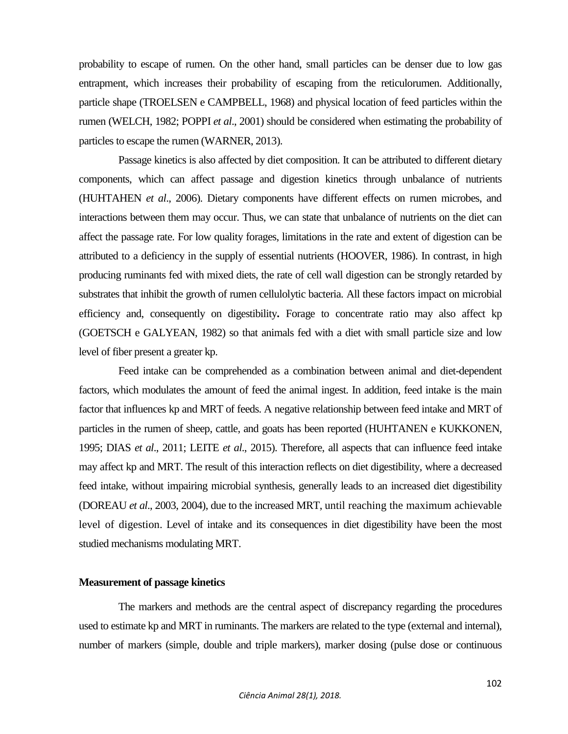probability to escape of rumen. On the other hand, small particles can be denser due to low gas entrapment, which increases their probability of escaping from the reticulorumen. Additionally, particle shape (TROELSEN e CAMPBELL, 1968) and physical location of feed particles within the rumen (WELCH, 1982; POPPI *et al*., 2001) should be considered when estimating the probability of particles to escape the rumen (WARNER, 2013).

Passage kinetics is also affected by diet composition. It can be attributed to different dietary components, which can affect passage and digestion kinetics through unbalance of nutrients (HUHTAHEN *et al*., 2006). Dietary components have different effects on rumen microbes, and interactions between them may occur. Thus, we can state that unbalance of nutrients on the diet can affect the passage rate. For low quality forages, limitations in the rate and extent of digestion can be attributed to a deficiency in the supply of essential nutrients (HOOVER, 1986). In contrast, in high producing ruminants fed with mixed diets, the rate of cell wall digestion can be strongly retarded by substrates that inhibit the growth of rumen cellulolytic bacteria. All these factors impact on microbial efficiency and, consequently on digestibility**.** Forage to concentrate ratio may also affect kp (GOETSCH e GALYEAN, 1982) so that animals fed with a diet with small particle size and low level of fiber present a greater kp.

Feed intake can be comprehended as a combination between animal and diet-dependent factors, which modulates the amount of feed the animal ingest. In addition, feed intake is the main factor that influences kp and MRT of feeds. A negative relationship between feed intake and MRT of particles in the rumen of sheep, cattle, and goats has been reported (HUHTANEN e KUKKONEN, 1995; DIAS *et al*., 2011; LEITE *et al*., 2015). Therefore, all aspects that can influence feed intake may affect kp and MRT. The result of this interaction reflects on diet digestibility, where a decreased feed intake, without impairing microbial synthesis, generally leads to an increased diet digestibility (DOREAU *et al*., 2003, 2004), due to the increased MRT, until reaching the maximum achievable level of digestion. Level of intake and its consequences in diet digestibility have been the most studied mechanisms modulating MRT.

# **Measurement of passage kinetics**

The markers and methods are the central aspect of discrepancy regarding the procedures used to estimate kp and MRT in ruminants. The markers are related to the type (external and internal), number of markers (simple, double and triple markers), marker dosing (pulse dose or continuous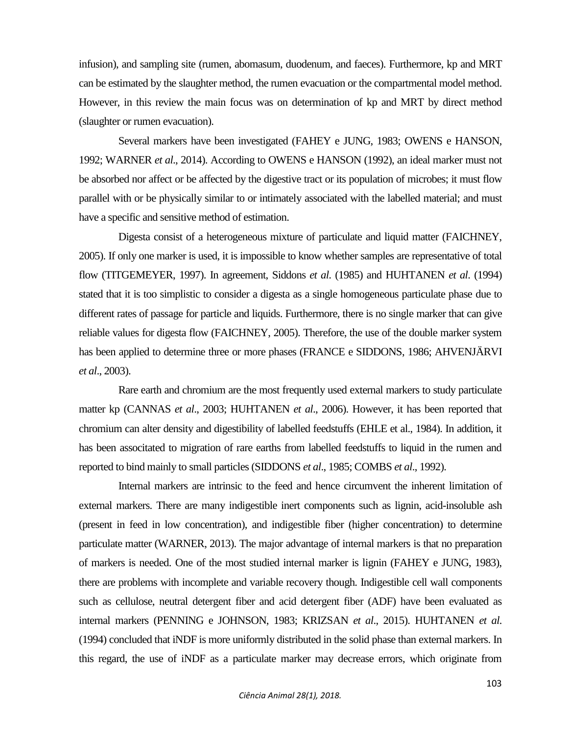infusion), and sampling site (rumen, abomasum, duodenum, and faeces). Furthermore, kp and MRT can be estimated by the slaughter method, the rumen evacuation or the compartmental model method. However, in this review the main focus was on determination of kp and MRT by direct method (slaughter or rumen evacuation).

Several markers have been investigated (FAHEY e JUNG, 1983; OWENS e HANSON, 1992; WARNER *et al*., 2014). According to OWENS e HANSON (1992), an ideal marker must not be absorbed nor affect or be affected by the digestive tract or its population of microbes; it must flow parallel with or be physically similar to or intimately associated with the labelled material; and must have a specific and sensitive method of estimation.

Digesta consist of a heterogeneous mixture of particulate and liquid matter (FAICHNEY, 2005). If only one marker is used, it is impossible to know whether samples are representative of total flow (TITGEMEYER, 1997). In agreement, Siddons *et al*. (1985) and HUHTANEN *et al*. (1994) stated that it is too simplistic to consider a digesta as a single homogeneous particulate phase due to different rates of passage for particle and liquids. Furthermore, there is no single marker that can give reliable values for digesta flow (FAICHNEY, 2005). Therefore, the use of the double marker system has been applied to determine three or more phases (FRANCE e SIDDONS, 1986; AHVENJÄRVI *et al*., 2003).

Rare earth and chromium are the most frequently used external markers to study particulate matter kp (CANNAS *et al*., 2003; HUHTANEN *et al*., 2006). However, it has been reported that chromium can alter density and digestibility of labelled feedstuffs (EHLE et al., 1984). In addition, it has been associtated to migration of rare earths from labelled feedstuffs to liquid in the rumen and reported to bind mainly to small particles (SIDDONS *et al*., 1985; COMBS *et al*., 1992).

Internal markers are intrinsic to the feed and hence circumvent the inherent limitation of external markers. There are many indigestible inert components such as lignin, acid-insoluble ash (present in feed in low concentration), and indigestible fiber (higher concentration) to determine particulate matter (WARNER, 2013). The major advantage of internal markers is that no preparation of markers is needed. One of the most studied internal marker is lignin (FAHEY e JUNG, 1983), there are problems with incomplete and variable recovery though. Indigestible cell wall components such as cellulose, neutral detergent fiber and acid detergent fiber (ADF) have been evaluated as internal markers (PENNING e JOHNSON, 1983; KRIZSAN *et al*., 2015). HUHTANEN *et al*. (1994) concluded that iNDF is more uniformly distributed in the solid phase than external markers. In this regard, the use of iNDF as a particulate marker may decrease errors, which originate from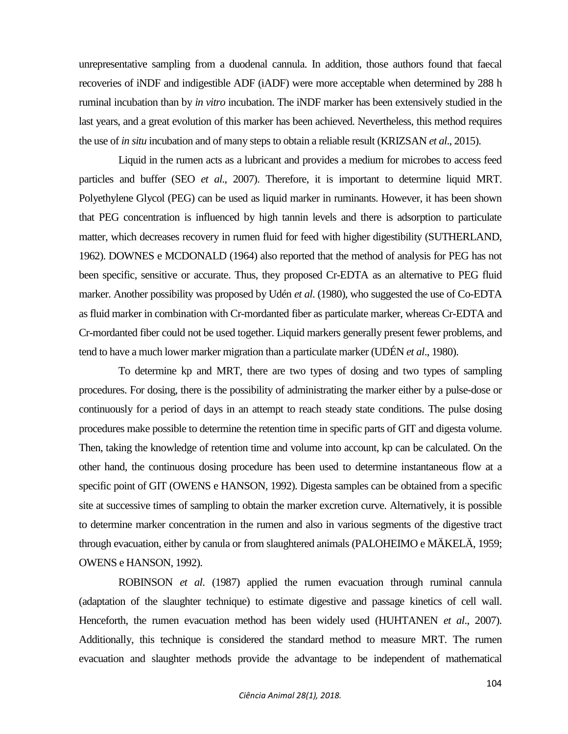unrepresentative sampling from a duodenal cannula. In addition, those authors found that faecal recoveries of iNDF and indigestible ADF (iADF) were more acceptable when determined by 288 h ruminal incubation than by *in vitro* incubation. The iNDF marker has been extensively studied in the last years, and a great evolution of this marker has been achieved. Nevertheless, this method requires the use of *in situ* incubation and of many steps to obtain a reliable result (KRIZSAN *et al*., 2015).

Liquid in the rumen acts as a lubricant and provides a medium for microbes to access feed particles and buffer (SEO *et al*., 2007). Therefore, it is important to determine liquid MRT. Polyethylene Glycol (PEG) can be used as liquid marker in ruminants. However, it has been shown that PEG concentration is influenced by high tannin levels and there is adsorption to particulate matter, which decreases recovery in rumen fluid for feed with higher digestibility (SUTHERLAND, 1962). DOWNES e MCDONALD (1964) also reported that the method of analysis for PEG has not been specific, sensitive or accurate. Thus, they proposed Cr-EDTA as an alternative to PEG fluid marker. Another possibility was proposed by Udén *et al*. (1980), who suggested the use of Co-EDTA as fluid marker in combination with Cr-mordanted fiber as particulate marker, whereas Cr-EDTA and Cr-mordanted fiber could not be used together. Liquid markers generally present fewer problems, and tend to have a much lower marker migration than a particulate marker (UDÉN *et al*., 1980).

To determine kp and MRT, there are two types of dosing and two types of sampling procedures. For dosing, there is the possibility of administrating the marker either by a pulse-dose or continuously for a period of days in an attempt to reach steady state conditions. The pulse dosing procedures make possible to determine the retention time in specific parts of GIT and digesta volume. Then, taking the knowledge of retention time and volume into account, kp can be calculated. On the other hand, the continuous dosing procedure has been used to determine instantaneous flow at a specific point of GIT (OWENS e HANSON, 1992). Digesta samples can be obtained from a specific site at successive times of sampling to obtain the marker excretion curve. Alternatively, it is possible to determine marker concentration in the rumen and also in various segments of the digestive tract through evacuation, either by canula or from slaughtered animals (PALOHEIMO e MÄKELÄ, 1959; OWENS e HANSON, 1992).

ROBINSON *et al*. (1987) applied the rumen evacuation through ruminal cannula (adaptation of the slaughter technique) to estimate digestive and passage kinetics of cell wall. Henceforth, the rumen evacuation method has been widely used (HUHTANEN *et al*., 2007). Additionally, this technique is considered the standard method to measure MRT. The rumen evacuation and slaughter methods provide the advantage to be independent of mathematical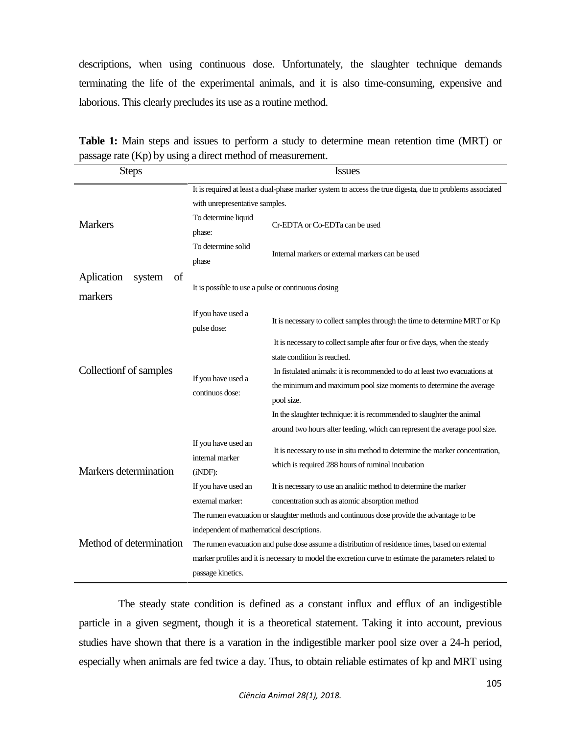descriptions, when using continuous dose. Unfortunately, the slaughter technique demands terminating the life of the experimental animals, and it is also time-consuming, expensive and laborious. This clearly precludes its use as a routine method.

| <b>Steps</b>                                    | <b>Issues</b>                                                                                             |                                                                              |  |  |  |
|-------------------------------------------------|-----------------------------------------------------------------------------------------------------------|------------------------------------------------------------------------------|--|--|--|
|                                                 | It is required at least a dual-phase marker system to access the true digesta, due to problems associated |                                                                              |  |  |  |
| <b>Markers</b>                                  | with unrepresentative samples.                                                                            |                                                                              |  |  |  |
|                                                 | To determine liquid<br>phase:                                                                             | Cr-EDTA or Co-EDTa can be used                                               |  |  |  |
|                                                 | To determine solid<br>phase                                                                               | Internal markers or external markers can be used                             |  |  |  |
| of<br>Aplication<br>system<br>markers           | It is possible to use a pulse or continuous dosing                                                        |                                                                              |  |  |  |
|                                                 | If you have used a<br>pulse dose:                                                                         | It is necessary to collect samples through the time to determine MRT or Kp   |  |  |  |
| Collectionf of samples<br>Markers determination | If you have used a<br>continuos dose:                                                                     | It is necessary to collect sample after four or five days, when the steady   |  |  |  |
|                                                 |                                                                                                           | state condition is reached.                                                  |  |  |  |
|                                                 |                                                                                                           | In fistulated animals: it is recommended to do at least two evacuations at   |  |  |  |
|                                                 |                                                                                                           | the minimum and maximum pool size moments to determine the average           |  |  |  |
|                                                 |                                                                                                           | pool size.                                                                   |  |  |  |
|                                                 |                                                                                                           | In the slaughter technique: it is recommended to slaughter the animal        |  |  |  |
|                                                 |                                                                                                           | around two hours after feeding, which can represent the average pool size.   |  |  |  |
|                                                 | If you have used an<br>internal marker<br>$(iNDF)$ :                                                      | It is necessary to use in situ method to determine the marker concentration, |  |  |  |
|                                                 |                                                                                                           | which is required 288 hours of ruminal incubation                            |  |  |  |
|                                                 | If you have used an                                                                                       | It is necessary to use an analitic method to determine the marker            |  |  |  |
|                                                 | external marker:                                                                                          | concentration such as atomic absorption method                               |  |  |  |
| Method of determination                         | The rumen evacuation or slaughter methods and continuous dose provide the advantage to be                 |                                                                              |  |  |  |
|                                                 | independent of mathematical descriptions.                                                                 |                                                                              |  |  |  |
|                                                 | The rumen evacuation and pulse dose assume a distribution of residence times, based on external           |                                                                              |  |  |  |
|                                                 | marker profiles and it is necessary to model the excretion curve to estimate the parameters related to    |                                                                              |  |  |  |
|                                                 | passage kinetics.                                                                                         |                                                                              |  |  |  |

**Table 1:** Main steps and issues to perform a study to determine mean retention time (MRT) or passage rate (Kp) by using a direct method of measurement.

The steady state condition is defined as a constant influx and efflux of an indigestible particle in a given segment, though it is a theoretical statement. Taking it into account, previous studies have shown that there is a varation in the indigestible marker pool size over a 24-h period, especially when animals are fed twice a day. Thus, to obtain reliable estimates of kp and MRT using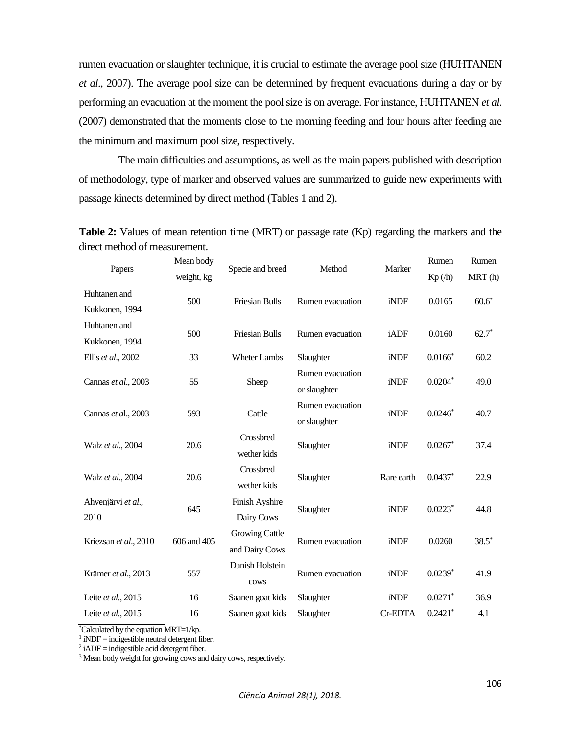rumen evacuation or slaughter technique, it is crucial to estimate the average pool size (HUHTANEN *et al*., 2007). The average pool size can be determined by frequent evacuations during a day or by performing an evacuation at the moment the pool size is on average. For instance, HUHTANEN *et al*. (2007) demonstrated that the moments close to the morning feeding and four hours after feeding are the minimum and maximum pool size, respectively.

The main difficulties and assumptions, as well as the main papers published with description of methodology, type of marker and observed values are summarized to guide new experiments with passage kinects determined by direct method (Tables 1 and 2).

| Papers                | Mean body   | Specie and breed      | Method           | Marker     | Rumen                 | Rumen   |
|-----------------------|-------------|-----------------------|------------------|------------|-----------------------|---------|
|                       | weight, kg  |                       |                  |            | Kp(h)                 | MRT(h)  |
| Huhtanen and          | 500         | <b>Friesian Bulls</b> | Rumen evacuation | iNDF       | 0.0165                | $60.6*$ |
| Kukkonen, 1994        |             |                       |                  |            |                       |         |
| Huhtanen and          | 500         | <b>Friesian Bulls</b> | Rumen evacuation | iADF       | 0.0160                | $62.7*$ |
| Kukkonen, 1994        |             |                       |                  |            |                       |         |
| Ellis et al., 2002    | 33          | <b>Wheter Lambs</b>   | Slaughter        | iNDF       | $0.0166*$             | 60.2    |
| Cannas et al., 2003   | 55          | Sheep                 | Rumen evacuation | iNDF       | $0.0204*$             | 49.0    |
|                       |             |                       | or slaughter     |            |                       |         |
| Cannas et al., 2003   | 593         | Cattle                | Rumen evacuation | iNDF       | $0.0246*$             | 40.7    |
|                       |             |                       | or slaughter     |            |                       |         |
| Walz et al., 2004     | 20.6        | Crossbred             | Slaughter        | iNDF       | $0.0267$ *            | 37.4    |
|                       |             | wether kids           |                  |            |                       |         |
| Walz et al., 2004     | 20.6        | Crossbred             | Slaughter        | Rare earth | $0.0437$ *            | 22.9    |
|                       |             | wether kids           |                  |            |                       |         |
| Ahvenjärvi et al.,    |             | Finish Ayshire        | Slaughter        | iNDF       | $0.0223$ <sup>*</sup> | 44.8    |
| 2010                  | 645         | Dairy Cows            |                  |            |                       |         |
| Kriezsan et al., 2010 | 606 and 405 | Growing Cattle        | Rumen evacuation | iNDF       | 0.0260                | $38.5*$ |
|                       |             | and Dairy Cows        |                  |            |                       |         |
| Krämer et al., 2013   | 557         | Danish Holstein       | Rumen evacuation | iNDF       | $0.0239*$             | 41.9    |
|                       |             | cows                  |                  |            |                       |         |
| Leite et al., 2015    | 16          | Saanen goat kids      | Slaughter        | iNDF       | $0.0271$ <sup>*</sup> | 36.9    |
| Leite et al., 2015    | 16          | Saanen goat kids      | Slaughter        | Cr-EDTA    | $0.2421$ *            | 4.1     |

**Table 2:** Values of mean retention time (MRT) or passage rate (Kp) regarding the markers and the direct method of measurement.

\*Calculated by the equation MRT=1/kp.

 $1$  iNDF = indigestible neutral detergent fiber.

 $2$  iADF = indigestible acid detergent fiber.

<sup>3</sup> Mean body weight for growing cows and dairy cows, respectively.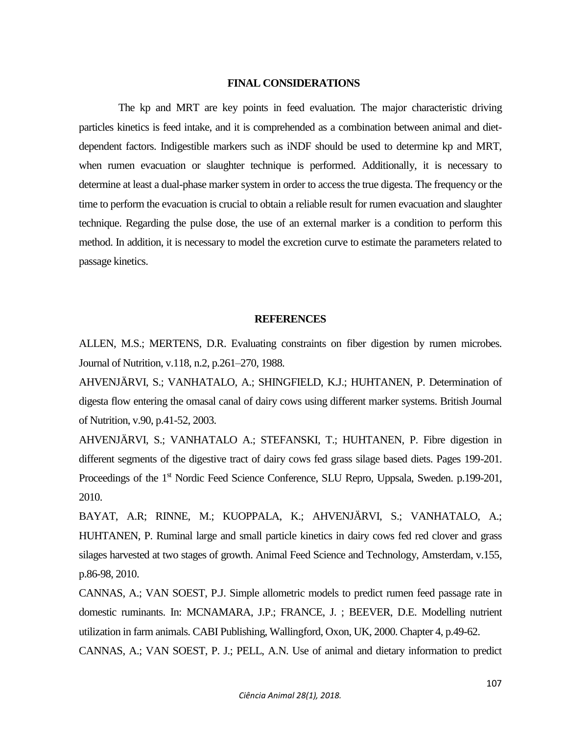## **FINAL CONSIDERATIONS**

The kp and MRT are key points in feed evaluation. The major characteristic driving particles kinetics is feed intake, and it is comprehended as a combination between animal and dietdependent factors. Indigestible markers such as iNDF should be used to determine kp and MRT, when rumen evacuation or slaughter technique is performed. Additionally, it is necessary to determine at least a dual-phase marker system in order to access the true digesta. The frequency or the time to perform the evacuation is crucial to obtain a reliable result for rumen evacuation and slaughter technique. Regarding the pulse dose, the use of an external marker is a condition to perform this method. In addition, it is necessary to model the excretion curve to estimate the parameters related to passage kinetics.

#### **REFERENCES**

ALLEN, M.S.; MERTENS, D.R. Evaluating constraints on fiber digestion by rumen microbes. Journal of Nutrition, v.118, n.2, p.261–270, 1988.

AHVENJÄRVI, S.; VANHATALO, A.; SHINGFIELD, K.J.; HUHTANEN, P. Determination of digesta flow entering the omasal canal of dairy cows using different marker systems. British Journal of Nutrition, v.90, p.41-52, 2003.

AHVENJÄRVI, S.; VANHATALO A.; STEFANSKI, T.; HUHTANEN, P. Fibre digestion in different segments of the digestive tract of dairy cows fed grass silage based diets. Pages 199-201. Proceedings of the 1<sup>st</sup> Nordic Feed Science Conference, SLU Repro, Uppsala, Sweden. p.199-201, 2010.

BAYAT, A.R; RINNE, M.; KUOPPALA, K.; AHVENJÄRVI, S.; VANHATALO, A.; HUHTANEN, P. Ruminal large and small particle kinetics in dairy cows fed red clover and grass silages harvested at two stages of growth. Animal Feed Science and Technology, Amsterdam, v.155, p.86-98, 2010.

CANNAS, A.; VAN SOEST, P.J. Simple allometric models to predict rumen feed passage rate in domestic ruminants. In: MCNAMARA, J.P.; FRANCE, J. ; BEEVER, D.E. Modelling nutrient utilization in farm animals. CABI Publishing, Wallingford, Oxon, UK, 2000. Chapter 4, p.49-62.

CANNAS, A.; VAN SOEST, P. J.; PELL, A.N. Use of animal and dietary information to predict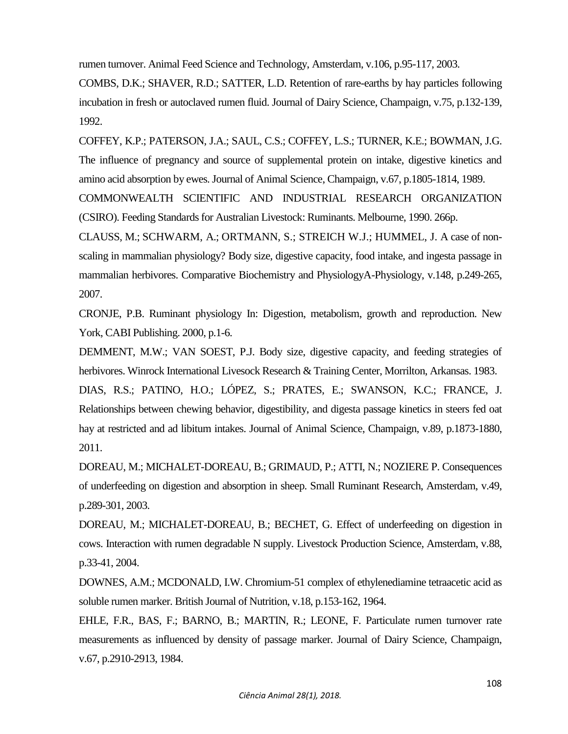rumen turnover. Animal Feed Science and Technology, Amsterdam, v.106, p.95-117, 2003.

COMBS, D.K.; SHAVER, R.D.; SATTER, L.D. Retention of rare-earths by hay particles following incubation in fresh or autoclaved rumen fluid. Journal of Dairy Science, Champaign, v.75, p.132-139, 1992.

COFFEY, K.P.; PATERSON, J.A.; SAUL, C.S.; COFFEY, L.S.; TURNER, K.E.; BOWMAN, J.G. The influence of pregnancy and source of supplemental protein on intake, digestive kinetics and amino acid absorption by ewes. Journal of Animal Science, Champaign, v.67, p.1805-1814, 1989. COMMONWEALTH SCIENTIFIC AND INDUSTRIAL RESEARCH ORGANIZATION

(CSIRO). Feeding Standards for Australian Livestock: Ruminants. Melbourne, 1990. 266p.

CLAUSS, M.; SCHWARM, A.; ORTMANN, S.; STREICH W.J.; HUMMEL, J. A case of nonscaling in mammalian physiology? Body size, digestive capacity, food intake, and ingesta passage in mammalian herbivores. Comparative Biochemistry and PhysiologyA-Physiology, v.148, p.249-265, 2007.

CRONJE, P.B. Ruminant physiology In: Digestion, metabolism, growth and reproduction. New York, CABI Publishing. 2000, p.1-6.

DEMMENT, M.W.; VAN SOEST, P.J. Body size, digestive capacity, and feeding strategies of herbivores. Winrock International Livesock Research & Training Center, Morrilton, Arkansas. 1983.

DIAS, R.S.; PATINO, H.O.; LÓPEZ, S.; PRATES, E.; SWANSON, K.C.; FRANCE, J. Relationships between chewing behavior, digestibility, and digesta passage kinetics in steers fed oat hay at restricted and ad libitum intakes. Journal of Animal Science, Champaign, v.89, p.1873-1880, 2011.

DOREAU, M.; MICHALET-DOREAU, B.; GRIMAUD, P.; ATTI, N.; NOZIERE P. Consequences of underfeeding on digestion and absorption in sheep. Small Ruminant Research, Amsterdam, v.49, p.289-301, 2003.

DOREAU, M.; MICHALET-DOREAU, B.; BECHET, G. Effect of underfeeding on digestion in cows. Interaction with rumen degradable N supply. Livestock Production Science, Amsterdam, v.88, p.33-41, 2004.

DOWNES, A.M.; MCDONALD, I.W. Chromium-51 complex of ethylenediamine tetraacetic acid as soluble rumen marker. British Journal of Nutrition, v.18, p.153-162, 1964.

EHLE, F.R., BAS, F.; BARNO, B.; MARTIN, R.; LEONE, F. Particulate rumen turnover rate measurements as influenced by density of passage marker. Journal of Dairy Science, Champaign, v.67, p.2910-2913, 1984.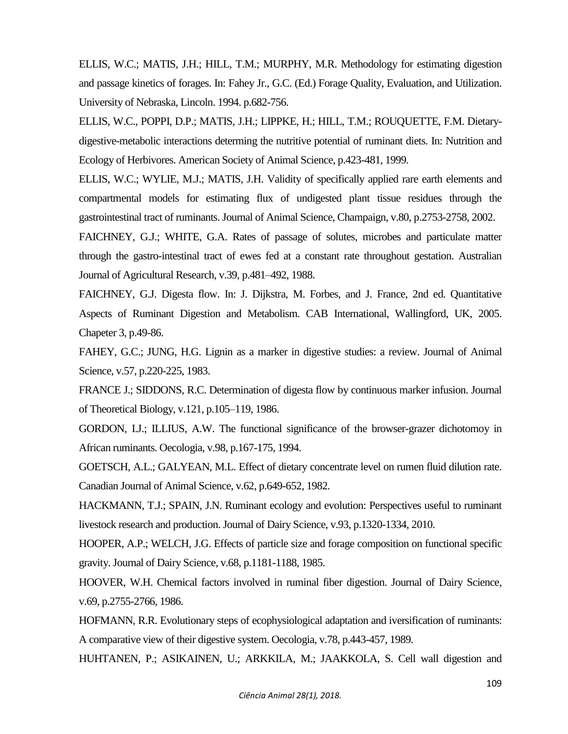ELLIS, W.C.; MATIS, J.H.; HILL, T.M.; MURPHY, M.R. Methodology for estimating digestion and passage kinetics of forages. In: Fahey Jr., G.C. (Ed.) Forage Quality, Evaluation, and Utilization. University of Nebraska, Lincoln. 1994. p.682-756.

ELLIS, W.C., POPPI, D.P.; MATIS, J.H.; LIPPKE, H.; HILL, T.M.; ROUQUETTE, F.M. Dietarydigestive-metabolic interactions determing the nutritive potential of ruminant diets. In: Nutrition and Ecology of Herbivores. American Society of Animal Science, p.423-481, 1999.

ELLIS, W.C.; WYLIE, M.J.; MATIS, J.H. Validity of specifically applied rare earth elements and compartmental models for estimating flux of undigested plant tissue residues through the gastrointestinal tract of ruminants. Journal of Animal Science, Champaign, v.80, p.2753-2758, 2002.

FAICHNEY, G.J.; WHITE, G.A. Rates of passage of solutes, microbes and particulate matter through the gastro-intestinal tract of ewes fed at a constant rate throughout gestation. Australian Journal of Agricultural Research, v.39, p.481–492, 1988.

FAICHNEY, G.J. Digesta flow. In: J. Dijkstra, M. Forbes, and J. France, 2nd ed. Quantitative Aspects of Ruminant Digestion and Metabolism. CAB International, Wallingford, UK, 2005. Chapeter 3, p.49-86.

FAHEY, G.C.; JUNG, H.G. Lignin as a marker in digestive studies: a review. Journal of Animal Science, v.57, p.220-225, 1983.

FRANCE J.; SIDDONS, R.C. Determination of digesta flow by continuous marker infusion. Journal of Theoretical Biology, v.121, p.105–119, 1986.

GORDON, I.J.; ILLIUS, A.W. The functional significance of the browser-grazer dichotomoy in African ruminants. Oecologia, v.98, p.167-175, 1994.

GOETSCH, A.L.; GALYEAN, M.L. Effect of dietary concentrate level on rumen fluid dilution rate. Canadian Journal of Animal Science, v.62, p.649-652, 1982.

HACKMANN, T.J.; SPAIN, J.N. Ruminant ecology and evolution: Perspectives useful to ruminant livestock research and production. Journal of Dairy Science, v.93, p.1320-1334, 2010.

HOOPER, A.P.; WELCH, J.G. Effects of particle size and forage composition on functional specific gravity. Journal of Dairy Science, v.68, p.1181-1188, 1985.

HOOVER, W.H. Chemical factors involved in ruminal fiber digestion. Journal of Dairy Science, v.69, p.2755-2766, 1986.

HOFMANN, R.R. Evolutionary steps of ecophysiological adaptation and iversification of ruminants: A comparative view of their digestive system. Oecologia, v.78, p.443-457, 1989.

HUHTANEN, P.; ASIKAINEN, U.; ARKKILA, M.; JAAKKOLA, S. Cell wall digestion and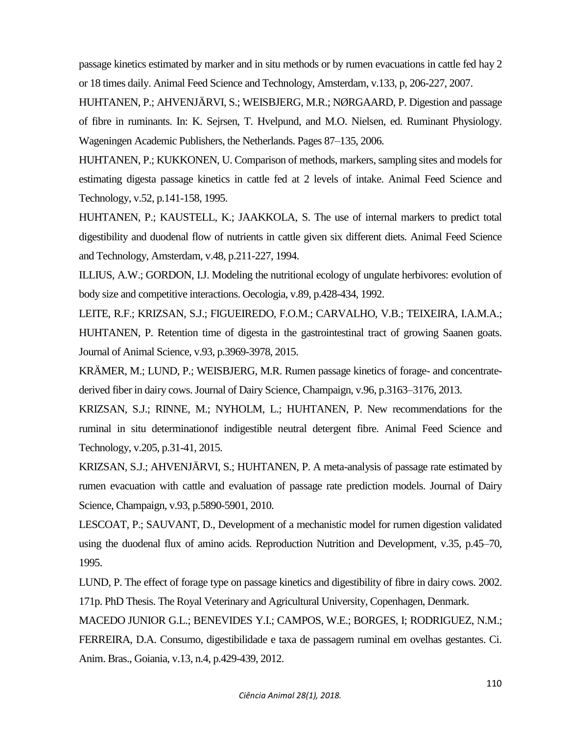passage kinetics estimated by marker and in situ methods or by rumen evacuations in cattle fed hay 2 or 18 times daily. Animal Feed Science and Technology, Amsterdam, v.133, p, 206-227, 2007.

HUHTANEN, P.; AHVENJÄRVI, S.; WEISBJERG, M.R.; NØRGAARD, P. Digestion and passage of fibre in ruminants. In: K. Sejrsen, T. Hvelpund, and M.O. Nielsen, ed. Ruminant Physiology. Wageningen Academic Publishers, the Netherlands. Pages 87–135, 2006.

HUHTANEN, P.; KUKKONEN, U. Comparison of methods, markers, sampling sites and models for estimating digesta passage kinetics in cattle fed at 2 levels of intake. Animal Feed Science and Technology, v.52, p.141-158, 1995.

HUHTANEN, P.; KAUSTELL, K.; JAAKKOLA, S. The use of internal markers to predict total digestibility and duodenal flow of nutrients in cattle given six different diets. Animal Feed Science and Technology, Amsterdam, v.48, p.211-227, 1994.

ILLIUS, A.W.; GORDON, I.J. Modeling the nutritional ecology of ungulate herbivores: evolution of body size and competitive interactions. Oecologia, v.89, p.428-434, 1992.

LEITE, R.F.; KRIZSAN, S.J.; FIGUEIREDO, F.O.M.; CARVALHO, V.B.; TEIXEIRA, I.A.M.A.; HUHTANEN, P. Retention time of digesta in the gastrointestinal tract of growing Saanen goats. Journal of Animal Science, v.93, p.3969-3978, 2015.

KRÄMER, M.; LUND, P.; WEISBJERG, M.R. Rumen passage kinetics of forage- and concentratederived fiber in dairy cows. Journal of Dairy Science, Champaign, v.96, p.3163–3176, 2013.

KRIZSAN, S.J.; RINNE, M.; NYHOLM, L.; HUHTANEN, P. New recommendations for the ruminal in situ determinationof indigestible neutral detergent fibre. Animal Feed Science and Technology, v.205, p.31-41, 2015.

KRIZSAN, S.J.; AHVENJÄRVI, S.; HUHTANEN, P. A meta-analysis of passage rate estimated by rumen evacuation with cattle and evaluation of passage rate prediction models. Journal of Dairy Science, Champaign, v.93, p.5890-5901, 2010.

LESCOAT, P.; SAUVANT, D., Development of a mechanistic model for rumen digestion validated using the duodenal flux of amino acids. Reproduction Nutrition and Development, v.35, p.45–70, 1995.

LUND, P. The effect of forage type on passage kinetics and digestibility of fibre in dairy cows. 2002. 171p. PhD Thesis. The Royal Veterinary and Agricultural University, Copenhagen, Denmark.

MACEDO JUNIOR G.L.; BENEVIDES Y.I.; CAMPOS, W.E.; BORGES, I; RODRIGUEZ, N.M.; FERREIRA, D.A. Consumo, digestibilidade e taxa de passagem ruminal em ovelhas gestantes. Ci. Anim. Bras., Goiania, v.13, n.4, p.429-439, 2012.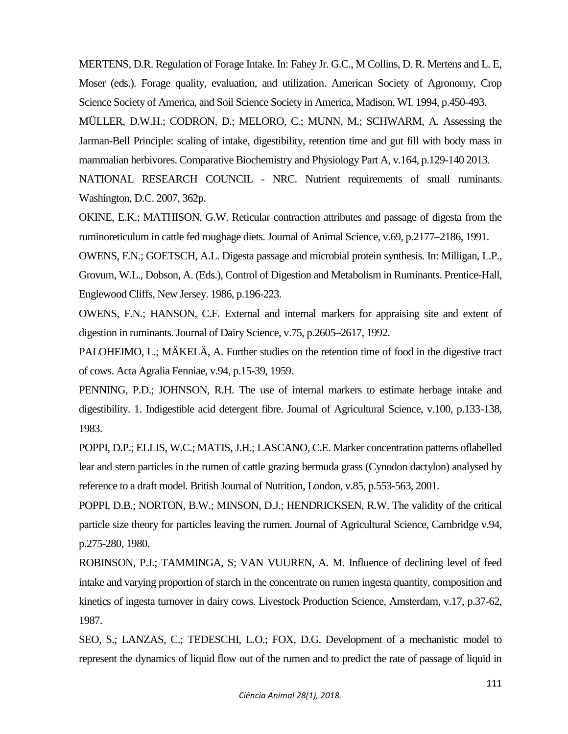MERTENS, D.R. Regulation of Forage Intake. In: Fahey Jr. G.C., M Collins, D. R. Mertens and L. E, Moser (eds.). Forage quality, evaluation, and utilization. American Society of Agronomy, Crop Science Society of America, and Soil Science Society in America, Madison, WI. 1994, p.450-493.

MÜLLER, D.W.H.; CODRON, D.; MELORO, C.; MUNN, M.; SCHWARM, A. Assessing the Jarman-Bell Principle: scaling of intake, digestibility, retention time and gut fill with body mass in mammalian herbivores. Comparative Biochemistry and Physiology Part A, v.164, p.129-140 2013.

NATIONAL RESEARCH COUNCIL - NRC. Nutrient requirements of small ruminants. Washington, D.C. 2007, 362p.

OKINE, E.K.; MATHISON, G.W. Reticular contraction attributes and passage of digesta from the ruminoreticulum in cattle fed roughage diets. Journal of Animal Science, v.69, p.2177–2186, 1991.

OWENS, F.N.; GOETSCH, A.L. Digesta passage and microbial protein synthesis. In: Milligan, L.P., Grovum, W.L., Dobson, A. (Eds.), Control of Digestion and Metabolism in Ruminants. Prentice-Hall, Englewood Cliffs, New Jersey. 1986, p.196-223.

OWENS, F.N.; HANSON, C.F. External and internal markers for appraising site and extent of digestion in ruminants. Journal of Dairy Science, v.75, p.2605–2617, 1992.

PALOHEIMO, L.; MÄKELÄ, A. Further studies on the retention time of food in the digestive tract of cows. Acta Agralia Fenniae, v.94, p.15-39, 1959.

PENNING, P.D.; JOHNSON, R.H. The use of internal markers to estimate herbage intake and digestibility. 1. Indigestible acid detergent fibre. Journal of Agricultural Science, v.100, p.133-138, 1983.

POPPI, D.P.; ELLIS, W.C.; MATIS, J.H.; LASCANO, C.E. Marker concentration patterns oflabelled lear and stern particles in the rumen of cattle grazing bermuda grass (Cynodon dactylon) analysed by reference to a draft model. British Journal of Nutrition, London, v.85, p.553-563, 2001.

POPPI, D.B.; NORTON, B.W.; MINSON, D.J.; HENDRICKSEN, R.W. The validity of the critical particle size theory for particles leaving the rumen. Journal of Agricultural Science, Cambridge v.94, p.275-280, 1980.

ROBINSON, P.J.; TAMMINGA, S; VAN VUUREN, A. M. Influence of declining level of feed intake and varying proportion of starch in the concentrate on rumen ingesta quantity, composition and kinetics of ingesta turnover in dairy cows. Livestock Production Science, Amsterdam, v.17, p.37-62, 1987.

SEO, S.; LANZAS, C.; TEDESCHI, L.O.; FOX, D.G. Development of a mechanistic model to represent the dynamics of liquid flow out of the rumen and to predict the rate of passage of liquid in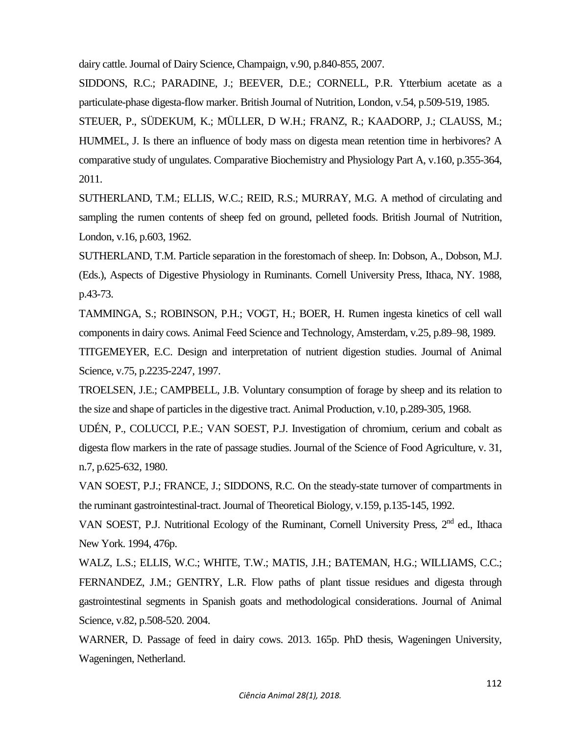dairy cattle. Journal of Dairy Science, Champaign, v.90, p.840-855, 2007.

SIDDONS, R.C.; PARADINE, J.; BEEVER, D.E.; CORNELL, P.R. Ytterbium acetate as a particulate-phase digesta-flow marker. British Journal of Nutrition, London, v.54, p.509-519, 1985.

STEUER, P., SÜDEKUM, K.; MÜLLER, D W.H.; FRANZ, R.; KAADORP, J.; CLAUSS, M.; HUMMEL, J. Is there an influence of body mass on digesta mean retention time in herbivores? A comparative study of ungulates. Comparative Biochemistry and Physiology Part A, v.160, p.355-364, 2011.

SUTHERLAND, T.M.; ELLIS, W.C.; REID, R.S.; MURRAY, M.G. A method of circulating and sampling the rumen contents of sheep fed on ground, pelleted foods. British Journal of Nutrition, London, v.16, p.603, 1962.

SUTHERLAND, T.M. Particle separation in the forestomach of sheep. In: Dobson, A., Dobson, M.J. (Eds.), Aspects of Digestive Physiology in Ruminants. Cornell University Press, Ithaca, NY. 1988, p.43-73.

TAMMINGA, S.; ROBINSON, P.H.; VOGT, H.; BOER, H. Rumen ingesta kinetics of cell wall components in dairy cows. Animal Feed Science and Technology, Amsterdam, v.25, p.89–98, 1989.

TITGEMEYER, E.C. Design and interpretation of nutrient digestion studies. Journal of Animal Science, v.75, p.2235-2247, 1997.

TROELSEN, J.E.; CAMPBELL, J.B. Voluntary consumption of forage by sheep and its relation to the size and shape of particles in the digestive tract. Animal Production, v.10, p.289-305, 1968.

UDÉN, P., COLUCCI, P.E.; VAN SOEST, P.J. Investigation of chromium, cerium and cobalt as digesta flow markers in the rate of passage studies. Journal of the Science of Food Agriculture, v. 31, n.7, p.625-632, 1980.

VAN SOEST, P.J.; FRANCE, J.; SIDDONS, R.C. On the steady-state turnover of compartments in the ruminant gastrointestinal-tract. Journal of Theoretical Biology, v.159, p.135-145, 1992.

VAN SOEST, P.J. Nutritional Ecology of the Ruminant, Cornell University Press, 2<sup>nd</sup> ed., Ithaca New York. 1994, 476p.

WALZ, L.S.; ELLIS, W.C.; WHITE, T.W.; MATIS, J.H.; BATEMAN, H.G.; WILLIAMS, C.C.; FERNANDEZ, J.M.; GENTRY, L.R. Flow paths of plant tissue residues and digesta through gastrointestinal segments in Spanish goats and methodological considerations. Journal of Animal Science, v.82, p.508-520. 2004.

WARNER, D. Passage of feed in dairy cows. 2013. 165p. PhD thesis, Wageningen University, Wageningen, Netherland.